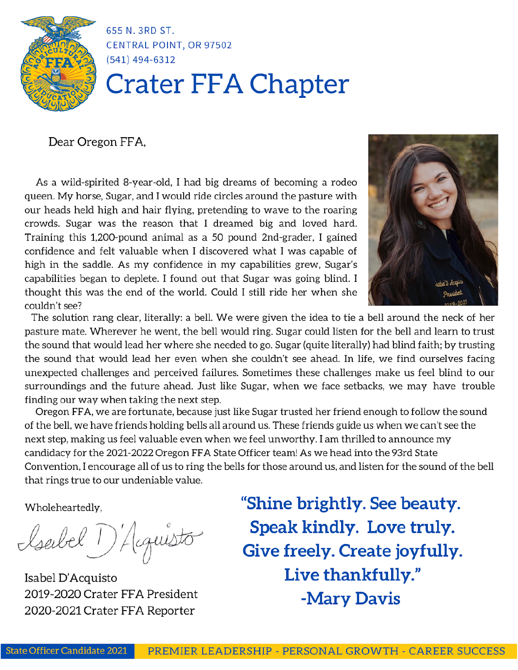

655 N. 3RD ST. **CENTRAL POINT, OR 97502**  $(541)$  494-6312

# **Crater FFA Chapter**

# Dear Oregon FFA,

As a wild-spirited 8-year-old, I had big dreams of becoming a rodeo queen. My horse, Sugar, and I would ride circles around the pasture with our heads held high and hair flying, pretending to wave to the roaring crowds. Sugar was the reason that I dreamed big and loved hard. Training this 1,200-pound animal as a 50 pound 2nd-grader, I gained confidence and felt valuable when I discovered what I was capable of high in the saddle. As my confidence in my capabilities grew, Sugar's capabilities began to deplete. I found out that Sugar was going blind. I thought this was the end of the world. Could I still ride her when she couldn't see?



The solution rang clear, literally: a bell. We were given the idea to tie a bell around the neck of her pasture mate. Wherever he went, the bell would ring. Sugar could listen for the bell and learn to trust the sound that would lead her where she needed to go. Sugar (quite literally) had blind faith; by trusting the sound that would lead her even when she couldn't see ahead. In life, we find ourselves facing unexpected challenges and perceived failures. Sometimes these challenges make us feel blind to our surroundings and the future ahead. Just like Sugar, when we face setbacks, we may have trouble finding our way when taking the next step.

Oregon FFA, we are fortunate, because just like Sugar trusted her friend enough to follow the sound of the bell, we have friends holding bells all around us. These friends guide us when we can't see the next step, making us feel valuable even when we feel unworthy. I am thrilled to announce my candidacy for the 2021-2022 Oregon FFA State Officer team! As we head into the 93rd State Convention, I encourage all of us to ring the bells for those around us, and listen for the sound of the bell that rings true to our undeniable value.

Wholeheartedly,

Isabel 1) Acquisto

Isabel D'Acquisto 2019-2020 Crater FFA President 2020-2021 Crater FFA Reporter

"Shine brightly. See beauty. Speak kindly. Love truly. Give freely. Create joyfully. Live thankfully." -Mary Davis